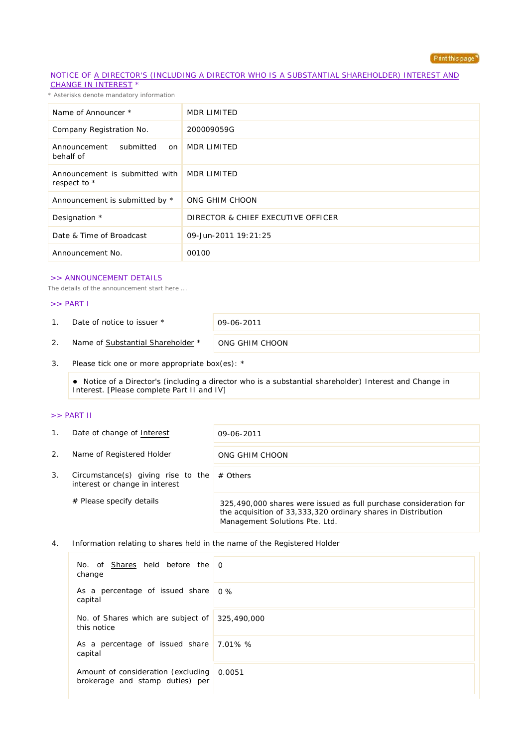

### NOTICE OF A DIRECTOR'S (INCLUDING A DIRECTOR WHO IS A SUBSTANTIAL SHAREHOLDER) INTEREST AND CHANGE IN INTEREST \*

*\* Asterisks denote mandatory information*

| Name of Announcer *                            | MDR LIMITED                        |
|------------------------------------------------|------------------------------------|
| Company Registration No.                       | 200009059G                         |
| Announcement<br>submitted<br>on<br>behalf of   | MDR LIMITED                        |
| Announcement is submitted with<br>respect to * | MDR LIMITED                        |
| Announcement is submitted by *                 | ONG GHIM CHOON                     |
| Designation *                                  | DIRECTOR & CHIEF EXECUTIVE OFFICER |
| Date & Time of Broadcast                       | 09-Jun-2011 19:21:25               |
| Announcement No.                               | 00100                              |

### >> ANNOUNCEMENT DETAILS

*The details of the announcement start here ...*

#### >> PART I

1. Date of notice to issuer \* 09-06-2011

2. Name of Substantial Shareholder \* ONG GHIM CHOON

3. Please tick one or more appropriate box(es): \*

 Notice of a Director's (including a director who is a substantial shareholder) Interest and Change in Interest. [Please complete Part II and IV]

### >> PART II

| $\mathbf{1}$ . | Date of change of Interest                                           | 09-06-2011                                                                                                                                                           |
|----------------|----------------------------------------------------------------------|----------------------------------------------------------------------------------------------------------------------------------------------------------------------|
| 2.             | Name of Registered Holder                                            | ONG GHIM CHOON                                                                                                                                                       |
| 3.             | Circumstance(s) giving rise to the<br>interest or change in interest | $#$ Others                                                                                                                                                           |
|                | $#$ Please specify details                                           | 325,490,000 shares were issued as full purchase consideration for<br>the acquisition of 33,333,320 ordinary shares in Distribution<br>Management Solutions Pte. Ltd. |

4. Information relating to shares held in the name of the Registered Holder

| No. of Shares held before the $\overline{0}$<br>change                       |  |
|------------------------------------------------------------------------------|--|
| As a percentage of issued share 0%<br>capital                                |  |
| No. of Shares which are subject of 325,490,000<br>this notice                |  |
| As a percentage of issued share 7.01% %<br>capital                           |  |
| Amount of consideration (excluding 0.0051<br>brokerage and stamp duties) per |  |